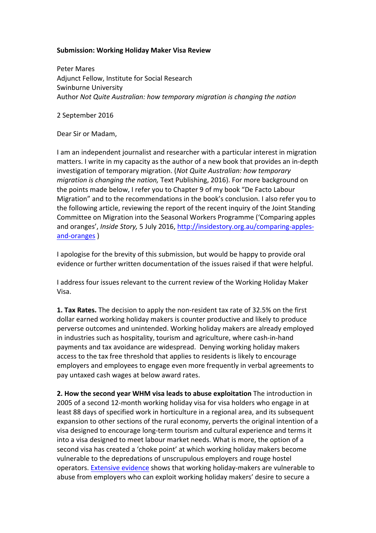## **Submission: Working Holiday Maker Visa Review**

Peter Mares Adjunct Fellow, Institute for Social Research Swinburne University Author *Not Quite Australian: how temporary migration is changing the nation* 

2 September 2016

Dear Sir or Madam,

I am an independent journalist and researcher with a particular interest in migration matters. I write in my capacity as the author of a new book that provides an in-depth investigation of temporary migration. (*Not Quite Australian: how temporary migration is changing the nation,* Text Publishing, 2016). For more background on the points made below, I refer you to Chapter 9 of my book "De Facto Labour Migration" and to the recommendations in the book's conclusion. I also refer you to the following article, reviewing the report of the recent inquiry of the Joint Standing Committee on Migration into the Seasonal Workers Programme ('Comparing apples and oranges', *Inside Story*, 5 July 2016, http://insidestory.org.au/comparing-applesand-oranges )

I apologise for the brevity of this submission, but would be happy to provide oral evidence or further written documentation of the issues raised if that were helpful.

I address four issues relevant to the current review of the Working Holiday Maker Visa.

**1. Tax Rates.** The decision to apply the non-resident tax rate of 32.5% on the first dollar earned working holiday makers is counter productive and likely to produce perverse outcomes and unintended. Working holiday makers are already employed in industries such as hospitality, tourism and agriculture, where cash-in-hand payments and tax avoidance are widespread. Denying working holiday makers access to the tax free threshold that applies to residents is likely to encourage employers and employees to engage even more frequently in verbal agreements to pay untaxed cash wages at below award rates.

**2. How the second year WHM visa leads to abuse exploitation** The introduction in 2005 of a second 12-month working holiday visa for visa holders who engage in at least 88 days of specified work in horticulture in a regional area, and its subsequent expansion to other sections of the rural economy, perverts the original intention of a visa designed to encourage long-term tourism and cultural experience and terms it into a visa designed to meet labour market needs. What is more, the option of a second visa has created a 'choke point' at which working holiday makers become vulnerable to the depredations of unscrupulous employers and rouge hostel operators. Extensive evidence shows that working holiday-makers are vulnerable to abuse from employers who can exploit working holiday makers' desire to secure a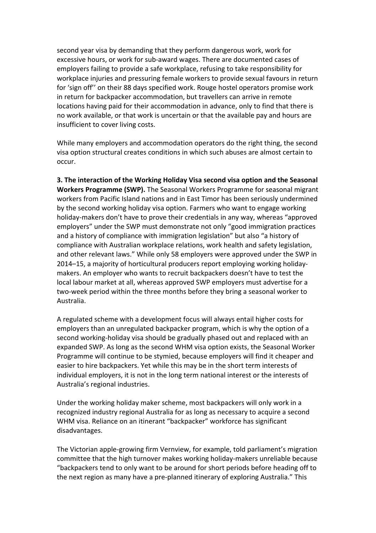second year visa by demanding that they perform dangerous work, work for excessive hours, or work for sub-award wages. There are documented cases of employers failing to provide a safe workplace, refusing to take responsibility for workplace injuries and pressuring female workers to provide sexual favours in return for 'sign off'' on their 88 days specified work. Rouge hostel operators promise work in return for backpacker accommodation, but travellers can arrive in remote locations having paid for their accommodation in advance, only to find that there is no work available, or that work is uncertain or that the available pay and hours are insufficient to cover living costs.

While many employers and accommodation operators do the right thing, the second visa option structural creates conditions in which such abuses are almost certain to occur.

**3. The interaction of the Working Holiday Visa second visa option and the Seasonal Workers Programme (SWP).** The Seasonal Workers Programme for seasonal migrant workers from Pacific Island nations and in East Timor has been seriously undermined by the second working holiday visa option. Farmers who want to engage working holiday-makers don't have to prove their credentials in any way, whereas "approved employers" under the SWP must demonstrate not only "good immigration practices and a history of compliance with immigration legislation" but also "a history of compliance with Australian workplace relations, work health and safety legislation, and other relevant laws." While only 58 employers were approved under the SWP in 2014–15, a majority of horticultural producers report employing working holidaymakers. An employer who wants to recruit backpackers doesn't have to test the local labour market at all, whereas approved SWP employers must advertise for a two-week period within the three months before they bring a seasonal worker to Australia.

A regulated scheme with a development focus will always entail higher costs for employers than an unregulated backpacker program, which is why the option of a second working-holiday visa should be gradually phased out and replaced with an expanded SWP. As long as the second WHM visa option exists, the Seasonal Worker Programme will continue to be stymied, because employers will find it cheaper and easier to hire backpackers. Yet while this may be in the short term interests of individual employers, it is not in the long term national interest or the interests of Australia's regional industries.

Under the working holiday maker scheme, most backpackers will only work in a recognized industry regional Australia for as long as necessary to acquire a second WHM visa. Reliance on an itinerant "backpacker" workforce has significant disadvantages.

The Victorian apple-growing firm Vernview, for example, told parliament's migration committee that the high turnover makes working holiday-makers unreliable because "backpackers tend to only want to be around for short periods before heading off to the next region as many have a pre-planned itinerary of exploring Australia." This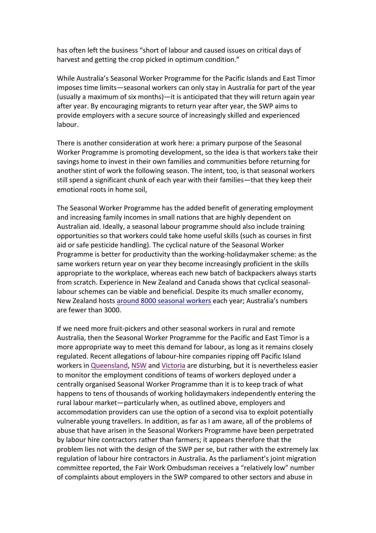has often left the business "short of labour and caused issues on critical days of harvest and getting the crop picked in optimum condition."

While Australia's Seasonal Worker Programme for the Pacific Islands and East Timor imposes time limits—seasonal workers can only stay in Australia for part of the year (usually a maximum of six months)—it is anticipated that they will return again year after year. By encouraging migrants to return year after year, the SWP aims to provide employers with a secure source of increasingly skilled and experienced labour. 

There is another consideration at work here: a primary purpose of the Seasonal Worker Programme is promoting development, so the idea is that workers take their savings home to invest in their own families and communities before returning for another stint of work the following season. The intent, too, is that seasonal workers still spend a significant chunk of each year with their families—that they keep their emotional roots in home soil,

The Seasonal Worker Programme has the added benefit of generating employment and increasing family incomes in small nations that are highly dependent on Australian aid. Ideally, a seasonal labour programme should also include training opportunities so that workers could take home useful skills (such as courses in first aid or safe pesticide handling). The cyclical nature of the Seasonal Worker Programme is better for productivity than the working-holidaymaker scheme: as the same workers return year on year they become increasingly proficient in the skills appropriate to the workplace, whereas each new batch of backpackers always starts from scratch. Experience in New Zealand and Canada shows that cyclical seasonallabour schemes can be viable and beneficial. Despite its much smaller economy, New Zealand hosts around 8000 seasonal workers each year; Australia's numbers are fewer than 3000

If we need more fruit-pickers and other seasonal workers in rural and remote Australia, then the Seasonal Worker Programme for the Pacific and East Timor is a more appropriate way to meet this demand for labour, as long as it remains closely regulated. Recent allegations of labour-hire companies ripping off Pacific Island workers in Queensland, NSW and Victoria are disturbing, but it is nevertheless easier to monitor the employment conditions of teams of workers deployed under a centrally organised Seasonal Worker Programme than it is to keep track of what happens to tens of thousands of working holidaymakers independently entering the rural labour market—particularly when, as outlined above, employers and accommodation providers can use the option of a second visa to exploit potentially vulnerable young travellers. In addition, as far as I am aware, all of the problems of abuse that have arisen in the Seasonal Workers Programme have been perpetrated by labour hire contractors rather than farmers; it appears therefore that the problem lies not with the design of the SWP per se, but rather with the extremely lax regulation of labour hire contractors in Australia. As the parliament's joint migration committee reported, the Fair Work Ombudsman receives a "relatively low" number of complaints about employers in the SWP compared to other sectors and abuse in